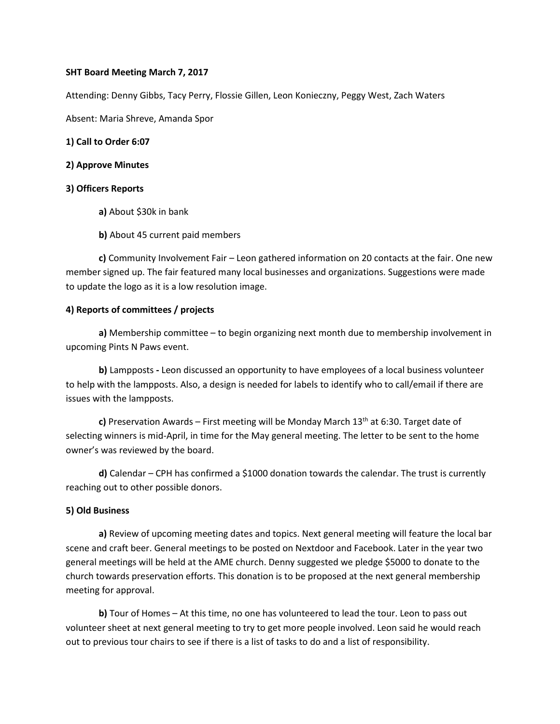## **SHT Board Meeting March 7, 2017**

Attending: Denny Gibbs, Tacy Perry, Flossie Gillen, Leon Konieczny, Peggy West, Zach Waters

Absent: Maria Shreve, Amanda Spor

### **1) Call to Order 6:07**

#### **2) Approve Minutes**

### **3) Officers Reports**

- **a)** About \$30k in bank
- **b)** About 45 current paid members

**c)** Community Involvement Fair – Leon gathered information on 20 contacts at the fair. One new member signed up. The fair featured many local businesses and organizations. Suggestions were made to update the logo as it is a low resolution image.

### **4) Reports of committees / projects**

**a)** Membership committee – to begin organizing next month due to membership involvement in upcoming Pints N Paws event.

**b)** Lampposts **-** Leon discussed an opportunity to have employees of a local business volunteer to help with the lampposts. Also, a design is needed for labels to identify who to call/email if there are issues with the lampposts.

c) Preservation Awards – First meeting will be Monday March 13<sup>th</sup> at 6:30. Target date of selecting winners is mid-April, in time for the May general meeting. The letter to be sent to the home owner's was reviewed by the board.

**d)** Calendar – CPH has confirmed a \$1000 donation towards the calendar. The trust is currently reaching out to other possible donors.

## **5) Old Business**

**a)** Review of upcoming meeting dates and topics. Next general meeting will feature the local bar scene and craft beer. General meetings to be posted on Nextdoor and Facebook. Later in the year two general meetings will be held at the AME church. Denny suggested we pledge \$5000 to donate to the church towards preservation efforts. This donation is to be proposed at the next general membership meeting for approval.

**b)** Tour of Homes – At this time, no one has volunteered to lead the tour. Leon to pass out volunteer sheet at next general meeting to try to get more people involved. Leon said he would reach out to previous tour chairs to see if there is a list of tasks to do and a list of responsibility.